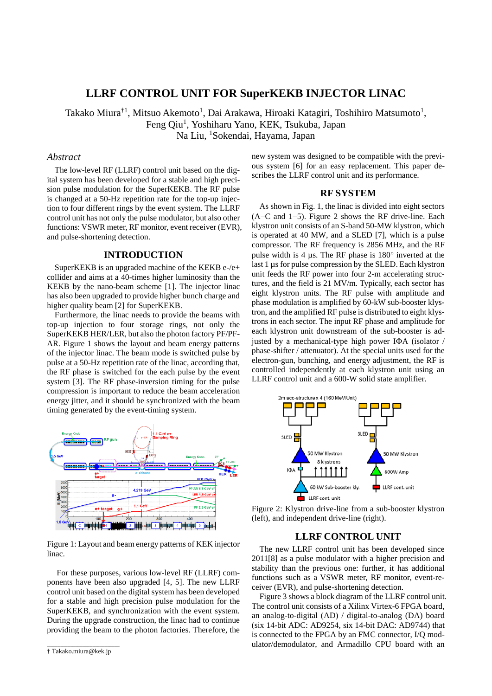# **LLRF CONTROL UNIT FOR SuperKEKB INJECTOR LINAC**

Takako Miura $^{\dagger 1}$ , Mitsuo Akemoto $^{\dagger}$ , Dai Arakawa, Hiroaki Katagiri, Toshihiro Matsumoto $^{\dagger}$ , Feng Qiu<sup>1</sup>, Yoshiharu Yano, KEK, Tsukuba, Japan Na Liu, 1 Sokendai, Hayama, Japan

## *Abstract*

The low-level RF (LLRF) control unit based on the digital system has been developed for a stable and high precision pulse modulation for the SuperKEKB. The RF pulse is changed at a 50-Hz repetition rate for the top-up injection to four different rings by the event system. The LLRF control unit has not only the pulse modulator, but also other functions: VSWR meter, RF monitor, event receiver (EVR), and pulse-shortening detection.

#### **INTRODUCTION**

SuperKEKB is an upgraded machine of the KEKB e-/e+ collider and aims at a 40-times higher luminosity than the KEKB by the nano-beam scheme [1]. The injector linac has also been upgraded to provide higher bunch charge and higher quality beam [2] for SuperKEKB.

Furthermore, the linac needs to provide the beams with top-up injection to four storage rings, not only the SuperKEKB HER/LER, but also the photon factory PF/PF-AR. Figure 1 shows the layout and beam energy patterns of the injector linac. The beam mode is switched pulse by pulse at a 50-Hz repetition rate of the linac, according that, the RF phase is switched for the each pulse by the event system [3]. The RF phase-inversion timing for the pulse compression is important to reduce the beam acceleration energy jitter, and it should be synchronized with the beam timing generated by the event-timing system.



Figure 1: Layout and beam energy patterns of KEK injector linac.

For these purposes, various low-level RF (LLRF) components have been also upgraded [4, 5]. The new LLRF control unit based on the digital system has been developed for a stable and high precision pulse modulation for the SuperKEKB, and synchronization with the event system. During the upgrade construction, the linac had to continue providing the beam to the photon factories. Therefore, the new system was designed to be compatible with the previous system [6] for an easy replacement. This paper describes the LLRF control unit and its performance.

## **RF SYSTEM**

As shown in Fig. 1, the linac is divided into eight sectors (A−C and 1−5). Figure 2 shows the RF drive-line. Each klystron unit consists of an S-band 50-MW klystron, which is operated at 40 MW, and a SLED [7], which is a pulse compressor. The RF frequency is 2856 MHz, and the RF pulse width is 4 µs. The RF phase is 180° inverted at the last 1 µs for pulse compression by the SLED. Each klystron unit feeds the RF power into four 2-m accelerating structures, and the field is 21 MV/m. Typically, each sector has eight klystron units. The RF pulse with amplitude and phase modulation is amplified by 60-kW sub-booster klystron, and the amplified RF pulse is distributed to eight klystrons in each sector. The input RF phase and amplitude for each klystron unit downstream of the sub-booster is adjusted by a mechanical-type high power IΦA (isolator / phase-shifter / attenuator). At the special units used for the electron-gun, bunching, and energy adjustment, the RF is controlled independently at each klystron unit using an LLRF control unit and a 600-W solid state amplifier.



Figure 2: Klystron drive-line from a sub-booster klystron (left), and independent drive-line (right).

## **LLRF CONTROL UNIT**

The new LLRF control unit has been developed since 2011[8] as a pulse modulator with a higher precision and stability than the previous one: further, it has additional functions such as a VSWR meter, RF monitor, event-receiver (EVR), and pulse-shortening detection.

Figure 3 shows a block diagram of the LLRF control unit. The control unit consists of a Xilinx Virtex-6 FPGA board, an analog-to-digital (AD) / digital-to-analog (DA) board (six 14-bit ADC: AD9254, six 14-bit DAC: AD9744) that is connected to the FPGA by an FMC connector, I/Q mod ulator/demodulator, and Armadillo CPU board with an

<sup>†</sup> Takako.miura@kek.jp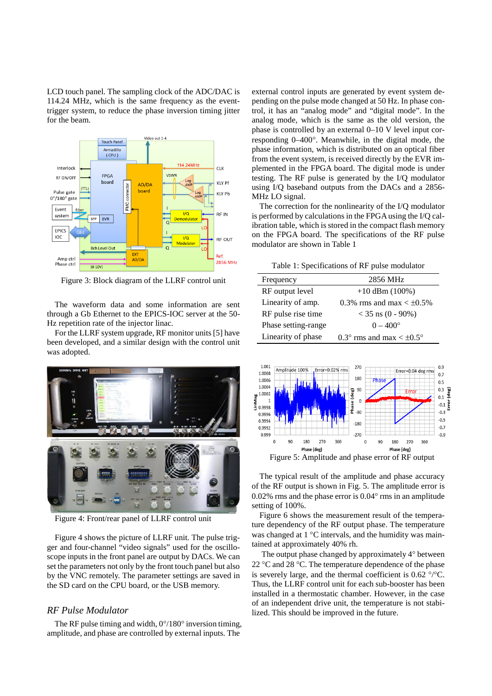LCD touch panel. The sampling clock of the ADC/DAC is 114.24 MHz, which is the same frequency as the eventtrigger system, to reduce the phase inversion timing jitter for the beam.



Figure 3: Block diagram of the LLRF control unit

The waveform data and some information are sent through a Gb Ethernet to the EPICS-IOC server at the 50- Hz repetition rate of the injector linac.

For the LLRF system upgrade, RF monitor units[5] have been developed, and a similar design with the control unit was adopted.



Figure 4: Front/rear panel of LLRF control unit

Figure 4 shows the picture of LLRF unit. The pulse trigger and four-channel "video signals" used for the oscilloscope inputs in the front panel are output by DACs. We can set the parameters not only by the front touch panel but also by the VNC remotely. The parameter settings are saved in the SD card on the CPU board, or the USB memory.

### *RF Pulse Modulator*

The RF pulse timing and width,  $0^{\circ}/180^{\circ}$  inversion timing, amplitude, and phase are controlled by external inputs. The

external control inputs are generated by event system depending on the pulse mode changed at 50 Hz. In phase control, it has an "analog mode" and "digital mode". In the analog mode, which is the same as the old version, the phase is controlled by an external 0–10 V level input corresponding 0–400°. Meanwhile, in the digital mode, the phase information, which is distributed on an optical fiber from the event system, is received directly by the EVR implemented in the FPGA board. The digital mode is under testing. The RF pulse is generated by the I/Q modulator using I/Q baseband outputs from the DACs and a 2856- MHz LO signal.

The correction for the nonlinearity of the I/Q modulator is performed by calculations in the FPGA using the I/Q calibration table, which is stored in the compact flash memory on the FPGA board. The specifications of the RF pulse modulator are shown in Table 1

Table 1: Specifications of RF pulse modulator

| Frequency           | 2856 MHz                       |
|---------------------|--------------------------------|
| RF output level     | $+10$ dBm $(100\%)$            |
| Linearity of amp.   | 0.3% rms and max $< \pm 0.5$ % |
| RF pulse rise time  | $<$ 35 ns (0 - 90%)            |
| Phase setting-range | $0 - 400^{\circ}$              |
| Linearity of phase  | 0.3° rms and max $\lt$ ±0.5°   |



The typical result of the amplitude and phase accuracy of the RF output is shown in Fig. 5. The amplitude error is 0.02% rms and the phase error is 0.04° rms in an amplitude setting of 100%.

Figure 6 shows the measurement result of the temperature dependency of the RF output phase. The temperature was changed at 1 °C intervals, and the humidity was maintained at approximately 40% rh.

The output phase changed by approximately 4° between 22 °C and 28 °C. The temperature dependence of the phase is severely large, and the thermal coefficient is  $0.62 \degree$  /°C. Thus, the LLRF control unit for each sub-booster has been installed in a thermostatic chamber. However, in the case of an independent drive unit, the temperature is not stabilized. This should be improved in the future.